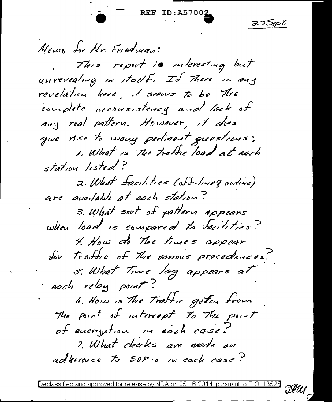**REF ID:A** 

ゴフコップ

Meuro Sor Mr. Friedman: This report is interesting but unrevealing in itself. If There is any revelation here, it seems to be The complete meousistency and lack of any real pattern. However, it does que rise to many pertinent questions: 1. What is The tratic load at each station listed? 2. What facilities (off-line q outive) are available at each station? 3. What sort of pattern appears when load is compared to facilities? 4. How do The times appear for traffic of the various precedences. 5. What Time lag appears at each relay point? 6. How is The Traffic goten from The point of intercept to The point of encryption in each case! 7. What checks are made on adherence to SOP:s in each case?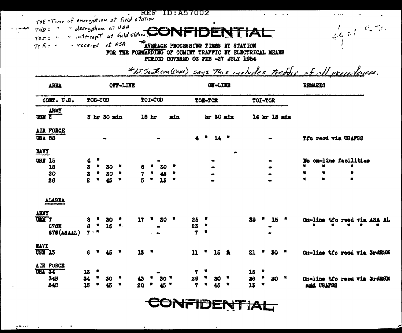| $\bullet$ |                                                                                                                                                                                                                                                                                                                                      | <b>REF ID:A57002</b>                                     | $\mathbf{a}=\mathbf{a}+\mathbf{a}+\mathbf{a}$ .                   |
|-----------|--------------------------------------------------------------------------------------------------------------------------------------------------------------------------------------------------------------------------------------------------------------------------------------------------------------------------------------|----------------------------------------------------------|-------------------------------------------------------------------|
|           | TOE : Time of energotion at field station                                                                                                                                                                                                                                                                                            |                                                          |                                                                   |
|           |                                                                                                                                                                                                                                                                                                                                      |                                                          | $\frac{1}{2\sqrt{2}}$ , where $\frac{1}{2}$ , where $\frac{1}{2}$ |
|           |                                                                                                                                                                                                                                                                                                                                      |                                                          |                                                                   |
|           | $T_0$ $\wedge$ : " $\cdots$ $\cdots$ $\cdots$ $\cdots$ $\cdots$ $\cdots$ $\cdots$ $\cdots$ $\cdots$ $\cdots$ $\cdots$ $\cdots$ $\cdots$ $\cdots$ $\cdots$ $\cdots$ $\cdots$ $\cdots$ $\cdots$ $\cdots$ $\cdots$ $\cdots$ $\cdots$ $\cdots$ $\cdots$ $\cdots$ $\cdots$ $\cdots$ $\cdots$ $\cdots$ $\cdots$ $\cdots$ $\cdots$ $\cdots$ |                                                          |                                                                   |
|           |                                                                                                                                                                                                                                                                                                                                      | FOR THE FORWARDING OF COMINT TRAFFIC BY ELECTRICAL MEANS |                                                                   |
|           |                                                                                                                                                                                                                                                                                                                                      | PERIOD COVERED OS FEB -27 JULY 1954                      |                                                                   |

| AREA                                                         | OFF-LIKE                                                                                           |                                                          | ON-LINK                       |                       | <b>REALERS</b>                                            |
|--------------------------------------------------------------|----------------------------------------------------------------------------------------------------|----------------------------------------------------------|-------------------------------|-----------------------|-----------------------------------------------------------|
| COMT. U.S.                                                   | TOE-TOD                                                                                            | TOI-TOD                                                  | TOE-TOR                       | TOI-TOR               |                                                           |
| ARKT<br>USZ                                                  | 5 hr 30 min                                                                                        | 18 hr<br>xin                                             | hr 30 min                     | 14 hr 15 min          |                                                           |
| AIR FORCE<br><b>UBA 58</b>                                   |                                                                                                    |                                                          | $14$ $*$                      |                       | Tfo reod via USAFSS                                       |
| <b>NAVY</b>                                                  |                                                                                                    |                                                          |                               |                       |                                                           |
| <b>USM 15</b><br>18<br>20<br>26                              | ۰<br>4<br>$\ddot{\phantom{a}}$<br>$\blacksquare$<br>30<br>$\frac{3}{2}$<br>۰<br>30<br>٠<br>45<br>售 | 30<br>6<br>45<br>7<br>Б<br>觺<br>$\overline{\mathbf{15}}$ | $\bullet$                     | $\bullet$             | on-line facilities<br>3c<br>Ħ<br>臡<br>丰<br>$\bullet$<br>۰ |
| ALASKA<br>ARMY<br><b>UEM 7</b><br>678X<br><b>678 (ASAAL)</b> | 8<br>30<br>15<br>М,<br>8<br>7.2                                                                    | 17<br>30                                                 | 25<br>23<br>7<br>٠<br>鹭       | 39<br>15              | $0x-11$ ne<br>tfo reed via ASA AL<br>×<br>٠<br>۰<br>×     |
| <b>RAVY</b><br>USK 13                                        | 6<br>45.                                                                                           | 18<br>- 57                                               | $\mathbf{u}$<br>٠<br>15 盖     | 21<br>30 <sup>2</sup> | On-line tfo reed via SrdRSM                               |
| AIR PORCE<br>TRI 34<br>34B<br>340                            | 13<br>34<br>30<br>$\overline{15}$                                                                  | 50.<br>20                                                | 7<br>Ħ<br>29<br>×<br>30<br>45 | 15<br>36<br>30<br>13  | On-line tfo reed wis SrdRSM<br>and USAFSS                 |

 $\mathbf{r}$  $\epsilon$   $\epsilon$   $\mu$  $\mathbb{R}$  $\frac{d}{dx}$  and  $\frac{d}{dx}$  $\mathbf{r}$  $\mathbf{A}$ 

CONFIDENTIAL

 $\mathbf{r}$ 

 $\ddot{\phantom{0}}$ 

 $\mu$  m  $\sigma$  and  $\sigma$ 

 $\sim$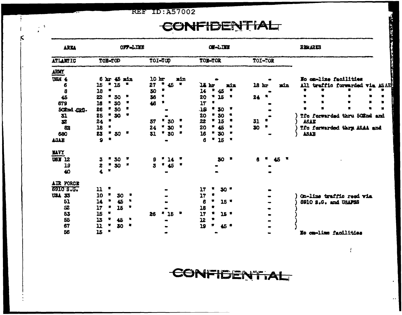**REF ID: A57002** 

 $\frac{1}{2}$  ,  $\frac{3}{2}$  ,

## CONFIDENTIAL

| ARKA                  |                                                                                                                                                          |                |         | OFF-LUEE |         |    |                |     |              |    | OW-LINE |                 |     |        |                  |         |     |     | <b>REMARKS</b>               |  |  |
|-----------------------|----------------------------------------------------------------------------------------------------------------------------------------------------------|----------------|---------|----------|---------|----|----------------|-----|--------------|----|---------|-----------------|-----|--------|------------------|---------|-----|-----|------------------------------|--|--|
| ATLANTIC              |                                                                                                                                                          |                | TOE-TOD |          | TOI-TOP |    |                |     | TOE-TOR      |    |         |                 |     |        |                  | TOI-TOR |     |     |                              |  |  |
| <b>ARMY</b>           |                                                                                                                                                          |                |         |          |         |    |                |     |              |    |         |                 |     |        |                  |         |     |     |                              |  |  |
| <b>USH 4</b>          |                                                                                                                                                          | 6 br           |         | 45 min   | 10      | br |                | nin |              |    |         |                 |     |        |                  |         |     |     | No on-line facilities        |  |  |
| 6                     | 15                                                                                                                                                       |                | 15      |          | 27      | Ħ  | 45             |     | <b>14 br</b> |    |         |                 | min |        | 18 <sub>hr</sub> |         | nin | A11 | traffic forwarded via ASAE   |  |  |
| $\boldsymbol{3}$      | 18                                                                                                                                                       | 雩              |         |          | 30      |    |                |     | 14           |    | 45      |                 |     |        |                  |         |     |     |                              |  |  |
| 45                    | 22                                                                                                                                                       |                | " 30    | -9       | 36      |    |                |     | 20           |    | 25      |                 | 鸒   | $24 -$ |                  |         |     |     |                              |  |  |
| 679                   | 16                                                                                                                                                       |                | "30     | ₩        | 46      |    |                |     | 17           |    |         |                 |     |        |                  |         |     |     |                              |  |  |
| 502nd CRC.            | 26                                                                                                                                                       |                | 30      |          |         |    |                |     | JS.          |    | 30      |                 |     |        |                  |         |     |     |                              |  |  |
| 31                    | 25                                                                                                                                                       |                | 30      |          |         |    |                |     | 20           |    | 30      |                 |     |        |                  |         |     |     | Tfo forwarded thru 502nd and |  |  |
| $\boldsymbol{\Sigma}$ | 24                                                                                                                                                       | 豐              |         |          | 37      |    | 30             |     | 22           | ₩. | 15      |                 |     | 31     |                  |         |     |     | ASAK                         |  |  |
| 83                    | 18                                                                                                                                                       |                |         |          | 24      |    | * 30           | ×   | 20           | ۰  | 45      |                 |     | 30     |                  | 計       |     |     | Tfc farwarded thry ASAA and  |  |  |
| 680                   | 23                                                                                                                                                       |                | $50 -$  |          | 31      |    | 30             | я   | 16           | ۳  | 30      |                 |     |        |                  |         |     |     | ASAB                         |  |  |
| <b>TATE</b>           | $\mathbf{Q}$                                                                                                                                             | 包              |         |          |         |    |                |     | 6            |    | "15"    |                 |     |        |                  |         |     |     |                              |  |  |
| <b>HAVY</b>           |                                                                                                                                                          |                |         |          |         |    |                |     |              |    |         |                 |     |        |                  |         |     |     |                              |  |  |
| <b>USI 12</b>         | 3                                                                                                                                                        |                | * 30    |          | 9       |    | 14             |     |              |    | 30      |                 |     |        |                  | 45      | 賀   |     |                              |  |  |
| 19                    | 2                                                                                                                                                        |                | 30      |          |         |    | $^{\prime}$ 45 |     |              |    |         |                 |     |        |                  |         |     |     |                              |  |  |
| 40                    | 4.                                                                                                                                                       | $\bullet$      |         |          |         |    |                |     |              |    |         |                 |     |        |                  |         |     |     |                              |  |  |
| AIR FORCE             |                                                                                                                                                          |                |         |          |         |    |                |     |              |    |         |                 |     |        |                  |         |     |     |                              |  |  |
| <b>6910 S.G.</b>      | 11                                                                                                                                                       |                |         |          |         |    |                |     | 17           |    |         | 30'             |     |        |                  |         |     |     |                              |  |  |
| <b>USA 33</b>         | 10                                                                                                                                                       |                | 30      |          |         |    |                |     | 17           |    |         |                 |     |        |                  |         |     |     | On-line traffic reed via     |  |  |
| 51                    | 14                                                                                                                                                       |                | 45      |          |         |    |                |     | 6            |    |         | $15$ $*$        |     |        |                  |         |     |     | 8910 S.G. and USAF58         |  |  |
| 52                    | 17                                                                                                                                                       |                | 15      | R        |         |    |                |     | 18           |    |         |                 |     |        |                  |         |     |     |                              |  |  |
| 53                    | 15                                                                                                                                                       | 蠺              |         |          | 26      |    | * 15           |     | 17           |    |         | 15 <sup>o</sup> |     |        |                  |         |     |     |                              |  |  |
| 55                    | 13                                                                                                                                                       |                | 45      | 鶩        |         |    |                |     | 12           |    |         |                 |     |        |                  |         |     |     |                              |  |  |
| 67                    | $\mathbf{L}% =\mathbf{L}^{\prime}\mathbf{C}^{T}\mathbf{C}^{T}\mathbf{A}^{-1}\mathbf{A}^{-1}\mathbf{A}^{-1}\mathbf{A}^{-1}\mathbf{A}^{-1}\mathbf{A}^{-1}$ |                | 80      | ×        |         |    |                |     | 19           |    |         | 45 *            |     |        |                  |         |     |     |                              |  |  |
| 56                    | 15                                                                                                                                                       | $\blacksquare$ |         |          |         |    |                |     |              |    |         |                 |     |        |                  |         |     |     | No om-lime facilities        |  |  |



建立